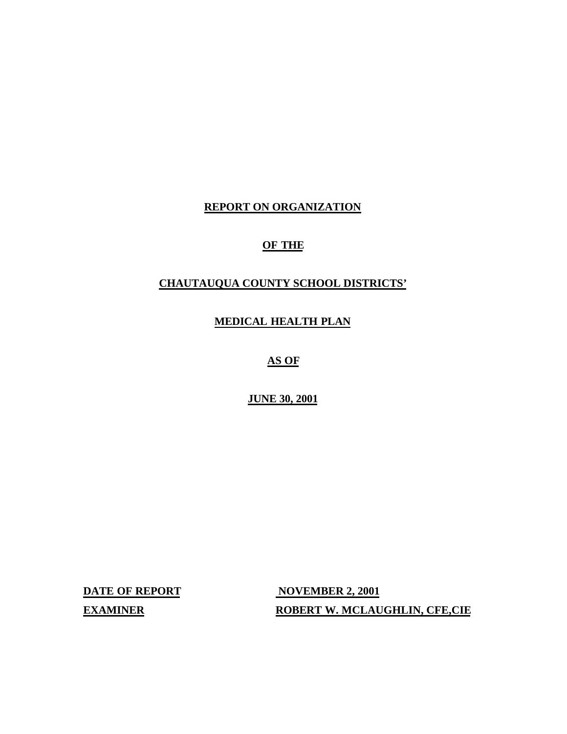#### **REPORT ON ORGANIZATION**

### **OF THE**

#### **CHAUTAUQUA COUNTY SCHOOL DISTRICTS'**

**MEDICAL HEALTH PLAN** 

**AS OF** 

**JUNE 30, 2001** 

**DATE OF REPORT NOVEMBER 2, 2001 EXAMINER ROBERT W. MCLAUGHLIN, CFE,CIE**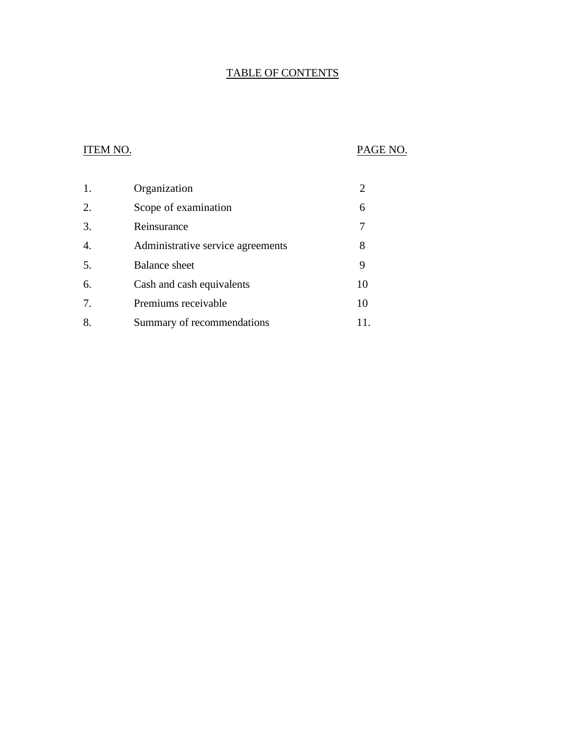### TABLE OF CONTENTS

### ITEM NO. PAGE NO.

| 1. | Organization                      |    |
|----|-----------------------------------|----|
| 2. | Scope of examination              | 6  |
| 3. | Reinsurance                       |    |
| 4. | Administrative service agreements | 8  |
| 5. | <b>Balance</b> sheet              | 9  |
| 6. | Cash and cash equivalents         | 10 |
| 7. | Premiums receivable               | 10 |
| 8. | Summary of recommendations        |    |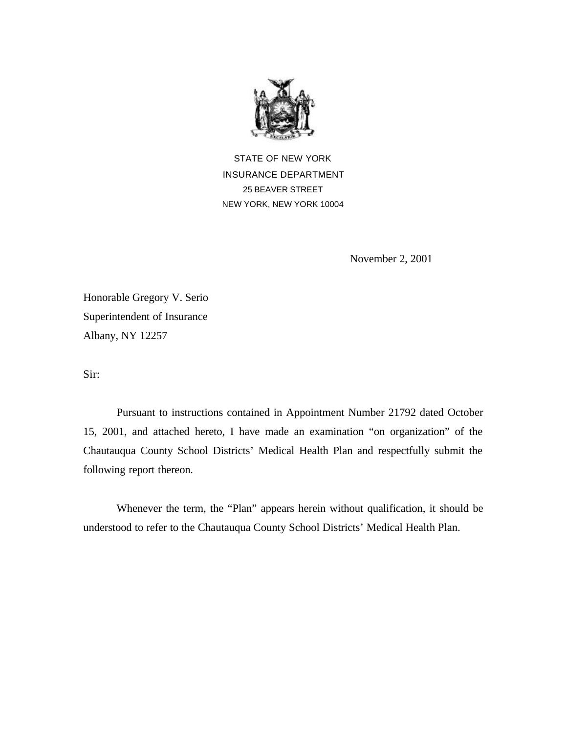

STATE OF NEW YORK INSURANCE DEPARTMENT 25 BEAVER STREET NEW YORK, NEW YORK 10004

November 2, 2001

Honorable Gregory V. Serio Superintendent of Insurance Albany, NY 12257

Sir:

Pursuant to instructions contained in Appointment Number 21792 dated October 15, 2001, and attached hereto, I have made an examination "on organization" of the Chautauqua County School Districts' Medical Health Plan and respectfully submit the following report thereon.

Whenever the term, the "Plan" appears herein without qualification, it should be understood to refer to the Chautauqua County School Districts' Medical Health Plan.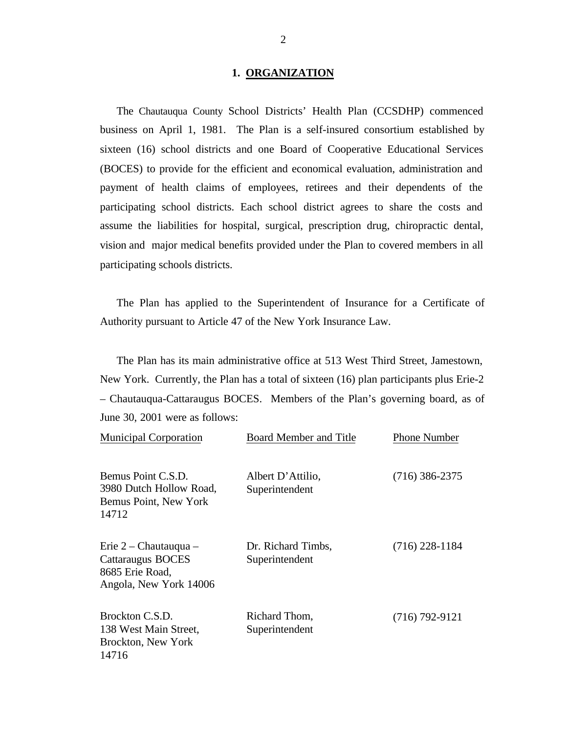#### **1. ORGANIZATION**

<span id="page-3-0"></span>The Chautauqua County School Districts' Health Plan (CCSDHP) commenced business on April 1, 1981. The Plan is a self-insured consortium established by sixteen (16) school districts and one Board of Cooperative Educational Services (BOCES) to provide for the efficient and economical evaluation, administration and payment of health claims of employees, retirees and their dependents of the participating school districts. Each school district agrees to share the costs and assume the liabilities for hospital, surgical, prescription drug, chiropractic dental, vision and major medical benefits provided under the Plan to covered members in all participating schools districts.

The Plan has applied to the Superintendent of Insurance for a Certificate of Authority pursuant to Article 47 of the New York Insurance Law.

The Plan has its main administrative office at 513 West Third Street, Jamestown, New York. Currently, the Plan has a total of sixteen (16) plan participants plus Erie-2 – Chautauqua-Cattaraugus BOCES. Members of the Plan's governing board, as of June 30, 2001 were as follows:

| <b>Municipal Corporation</b>                                                              | <b>Board Member and Title</b>        | <b>Phone Number</b> |
|-------------------------------------------------------------------------------------------|--------------------------------------|---------------------|
| Bemus Point C.S.D.<br>3980 Dutch Hollow Road,<br>Bemus Point, New York<br>14712           | Albert D'Attilio,<br>Superintendent  | $(716)$ 386-2375    |
| Erie $2$ – Chautauqua –<br>Cattaraugus BOCES<br>8685 Erie Road,<br>Angola, New York 14006 | Dr. Richard Timbs,<br>Superintendent | $(716)$ 228-1184    |
| Brockton C.S.D.<br>138 West Main Street,<br>Brockton, New York<br>14716                   | Richard Thom,<br>Superintendent      | $(716) 792 - 9121$  |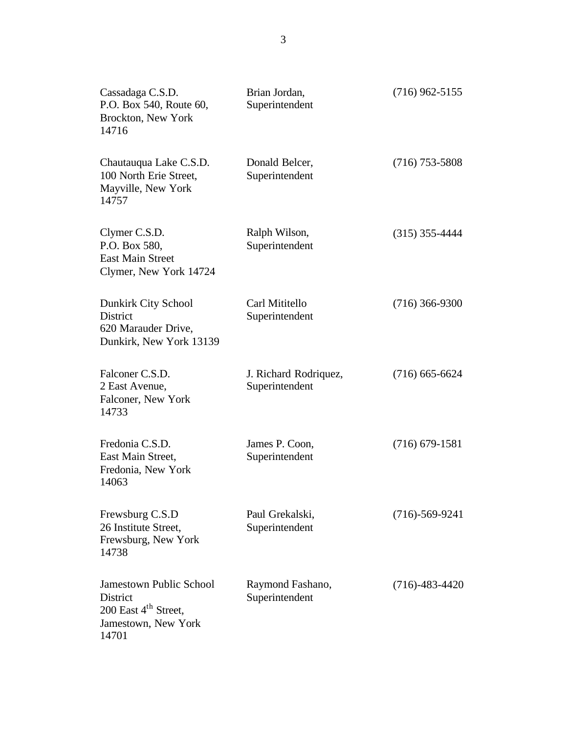| Cassadaga C.S.D.<br>P.O. Box 540, Route 60,<br>Brockton, New York<br>14716                                            | Brian Jordan,<br>Superintendent         | $(716)$ 962-5155     |
|-----------------------------------------------------------------------------------------------------------------------|-----------------------------------------|----------------------|
| Chautauqua Lake C.S.D.<br>100 North Erie Street,<br>Mayville, New York<br>14757                                       | Donald Belcer,<br>Superintendent        | $(716)$ 753-5808     |
| Clymer C.S.D.<br>P.O. Box 580,<br><b>East Main Street</b><br>Clymer, New York 14724                                   | Ralph Wilson,<br>Superintendent         | $(315)$ 355-4444     |
| Dunkirk City School<br><b>District</b><br>620 Marauder Drive,<br>Dunkirk, New York 13139                              | Carl Mititello<br>Superintendent        | $(716)$ 366-9300     |
| Falconer C.S.D.<br>2 East Avenue,<br>Falconer, New York<br>14733                                                      | J. Richard Rodriquez,<br>Superintendent | $(716)$ 665-6624     |
| Fredonia C.S.D.<br>East Main Street,<br>Fredonia, New York<br>14063                                                   | James P. Coon,<br>Superintendent        | $(716)$ 679-1581     |
| Frewsburg C.S.D<br>26 Institute Street,<br>Frewsburg, New York<br>14738                                               | Paul Grekalski,<br>Superintendent       | $(716)-569-9241$     |
| <b>Jamestown Public School</b><br><b>District</b><br>200 East 4 <sup>th</sup> Street,<br>Jamestown, New York<br>14701 | Raymond Fashano,<br>Superintendent      | $(716) - 483 - 4420$ |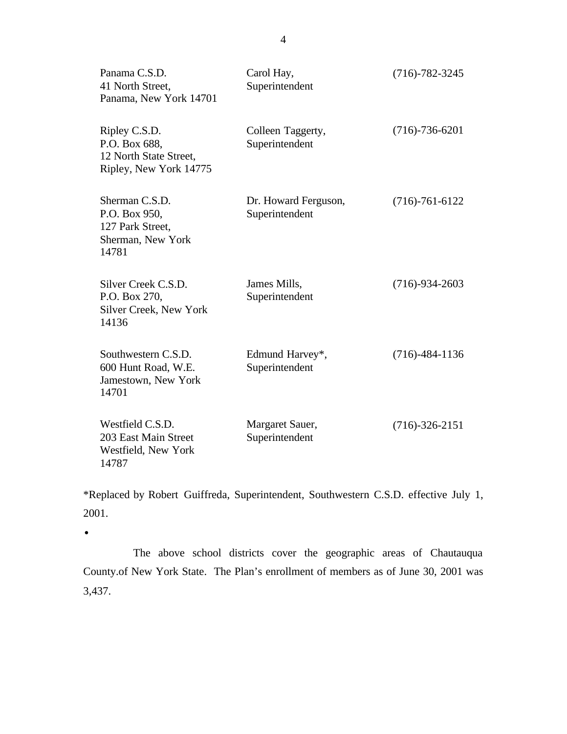| Panama C.S.D.<br>41 North Street,<br>Panama, New York 14701                        | Carol Hay,<br>Superintendent           | $(716) - 782 - 3245$ |
|------------------------------------------------------------------------------------|----------------------------------------|----------------------|
| Ripley C.S.D.<br>P.O. Box 688,<br>12 North State Street,<br>Ripley, New York 14775 | Colleen Taggerty,<br>Superintendent    | $(716) - 736 - 6201$ |
| Sherman C.S.D.<br>P.O. Box 950,<br>127 Park Street,<br>Sherman, New York<br>14781  | Dr. Howard Ferguson,<br>Superintendent | $(716) - 761 - 6122$ |
| Silver Creek C.S.D.<br>P.O. Box 270,<br>Silver Creek, New York<br>14136            | James Mills,<br>Superintendent         | $(716)-934-2603$     |
| Southwestern C.S.D.<br>600 Hunt Road, W.E.<br>Jamestown, New York<br>14701         | Edmund Harvey*,<br>Superintendent      | $(716) - 484 - 1136$ |
| Westfield C.S.D.<br>203 East Main Street<br>Westfield, New York<br>14787           | Margaret Sauer,<br>Superintendent      | $(716)-326-2151$     |

\*Replaced by Robert Guiffreda, Superintendent, Southwestern C.S.D. effective July 1, 2001.

·

The above school districts cover the geographic areas of Chautauqua [County.of](https://County.of) New York State. The Plan's enrollment of members as of June 30, 2001 was 3,437.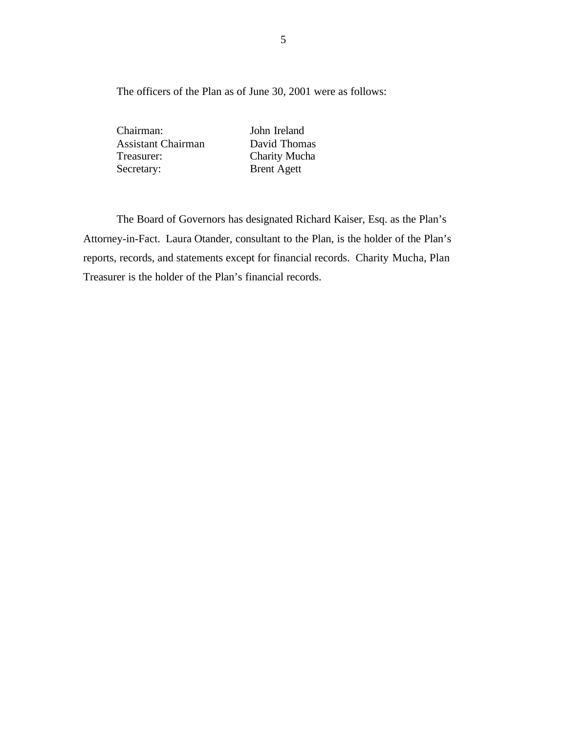The officers of the Plan as of June 30, 2001 were as follows:

Chairman: John Ireland Assistant Chairman David Thomas Treasurer: Charity Mucha Secretary: Brent Agett

The Board of Governors has designated Richard Kaiser, Esq. as the Plan's Attorney-in-Fact. Laura Otander, consultant to the Plan, is the holder of the Plan's reports, records, and statements except for financial records. Charity Mucha, Plan Treasurer is the holder of the Plan's financial records.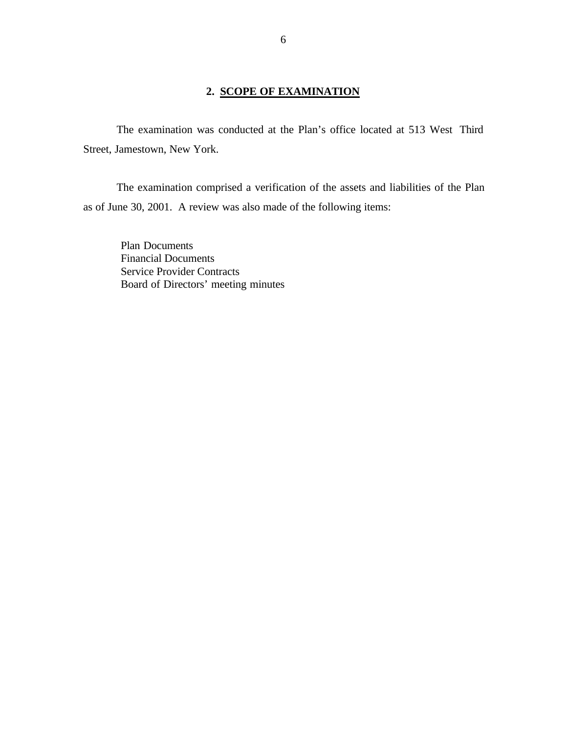#### **2. SCOPE OF EXAMINATION**

<span id="page-7-0"></span>The examination was conducted at the Plan's office located at 513 West Third Street, Jamestown, New York.

The examination comprised a verification of the assets and liabilities of the Plan as of June 30, 2001. A review was also made of the following items:

Plan Documents Financial Documents Service Provider Contracts Board of Directors' meeting minutes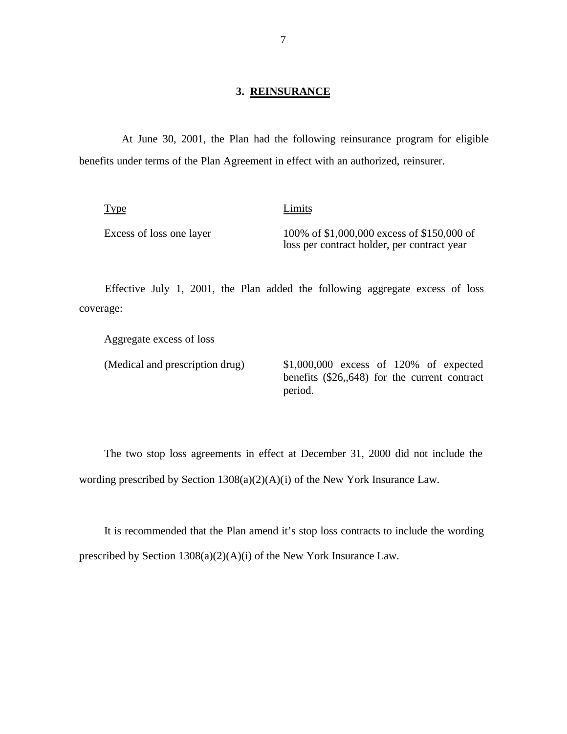#### **3. REINSURANCE**

<span id="page-8-0"></span> At June 30, 2001, the Plan had the following reinsurance program for eligible benefits under terms of the Plan Agreement in effect with an authorized, reinsurer.

| <b>Type</b>              | Limits                                                                                    |
|--------------------------|-------------------------------------------------------------------------------------------|
| Excess of loss one layer | 100% of \$1,000,000 excess of \$150,000 of<br>loss per contract holder, per contract year |

Effective July 1, 2001, the Plan added the following aggregate excess of loss coverage:

Aggregate excess of loss

(Medical and prescription drug) \$1,000,000 excess of 120% of expected benefits (\$26,,648) for the current contract period.

The two stop loss agreements in effect at December 31, 2000 did not include the wording prescribed by Section 1308(a)(2)(A)(i) of the New York Insurance Law.

It is recommended that the Plan amend it's stop loss contracts to include the wording prescribed by Section 1308(a)(2)(A)(i) of the New York Insurance Law.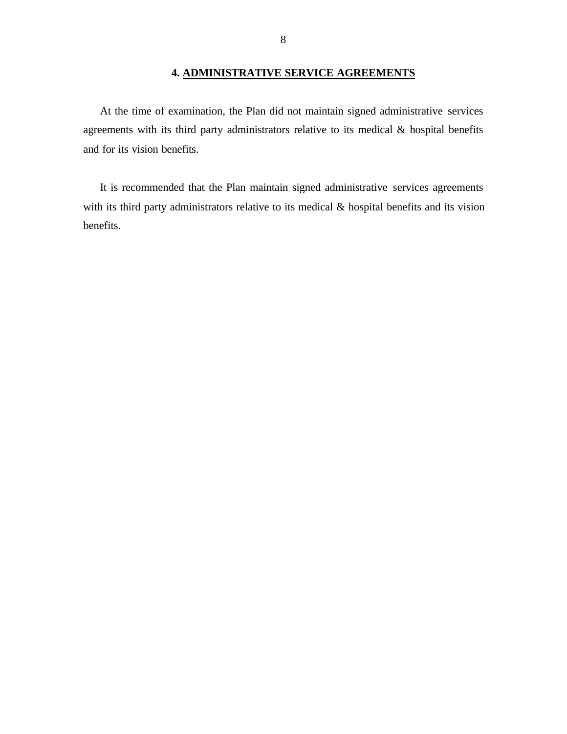#### **4. ADMINISTRATIVE SERVICE AGREEMENTS**

<span id="page-9-0"></span>At the time of examination, the Plan did not maintain signed administrative services agreements with its third party administrators relative to its medical & hospital benefits and for its vision benefits.

It is recommended that the Plan maintain signed administrative services agreements with its third party administrators relative to its medical & hospital benefits and its vision benefits.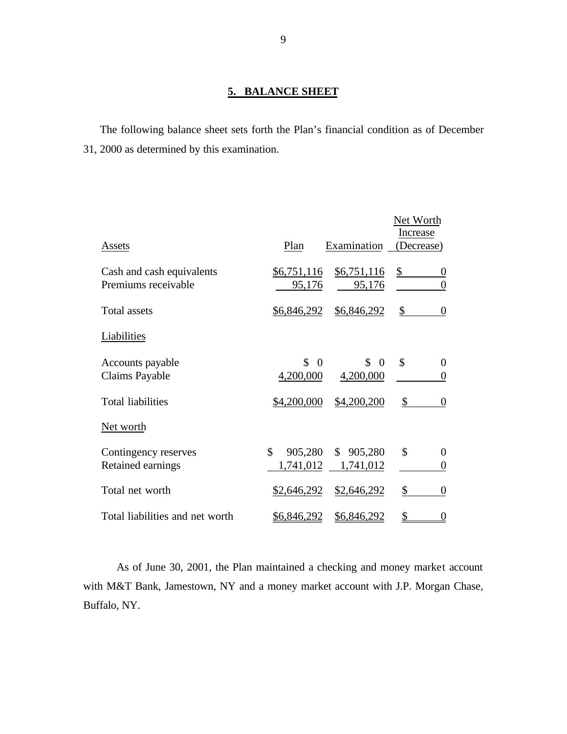#### **5. BALANCE SHEET**

The following balance sheet sets forth the Plan's financial condition as of December 31, 2000 as determined by this examination.

|                                                  |                             |                        | Net Worth                              |
|--------------------------------------------------|-----------------------------|------------------------|----------------------------------------|
| Assets                                           | Plan                        | Examination            | Increase<br>(Decrease)                 |
| Cash and cash equivalents<br>Premiums receivable | \$6,751,116<br>95,176       | \$6,751,116<br>95,176  | \$<br>0<br>$\boldsymbol{0}$            |
| <b>Total assets</b>                              | \$6,846,292                 | \$6,846,292            | \$<br>$\boldsymbol{0}$                 |
| Liabilities                                      |                             |                        |                                        |
| Accounts payable<br><b>Claims Payable</b>        | \$<br>$\Omega$<br>4,200,000 | \$<br>- 0<br>4,200,000 | $\mathcal{S}$<br>$\boldsymbol{0}$<br>0 |
| <b>Total liabilities</b>                         | \$4,200,000                 | \$4,200,200            | \$<br>$\boldsymbol{0}$                 |
| Net worth                                        |                             |                        |                                        |
| Contingency reserves<br>Retained earnings        | \$<br>905,280<br>1,741,012  | \$905,280<br>1,741,012 | \$<br>$\boldsymbol{0}$<br>0            |
| Total net worth                                  | \$2,646,292                 | \$2,646,292            | \$<br>$\boldsymbol{0}$                 |
| Total liabilities and net worth                  | <u>\$6,846,292</u>          | \$6,846,292            | <u>0</u>                               |

As of June 30, 2001, the Plan maintained a checking and money market account with M&T Bank, Jamestown, NY and a money market account with J.P. Morgan Chase, Buffalo, NY.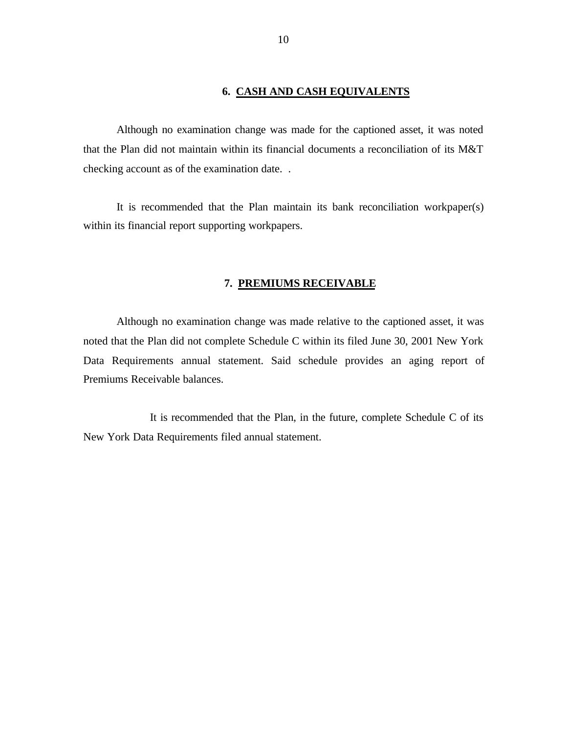#### **6. CASH AND CASH EQUIVALENTS**

<span id="page-11-0"></span>Although no examination change was made for the captioned asset, it was noted that the Plan did not maintain within its financial documents a reconciliation of its M&T checking account as of the examination date. .

It is recommended that the Plan maintain its bank reconciliation workpaper(s) within its financial report supporting workpapers.

#### **7. PREMIUMS RECEIVABLE**

Although no examination change was made relative to the captioned asset, it was noted that the Plan did not complete Schedule C within its filed June 30, 2001 New York Data Requirements annual statement. Said schedule provides an aging report of Premiums Receivable balances.

It is recommended that the Plan, in the future, complete Schedule C of its New York Data Requirements filed annual statement.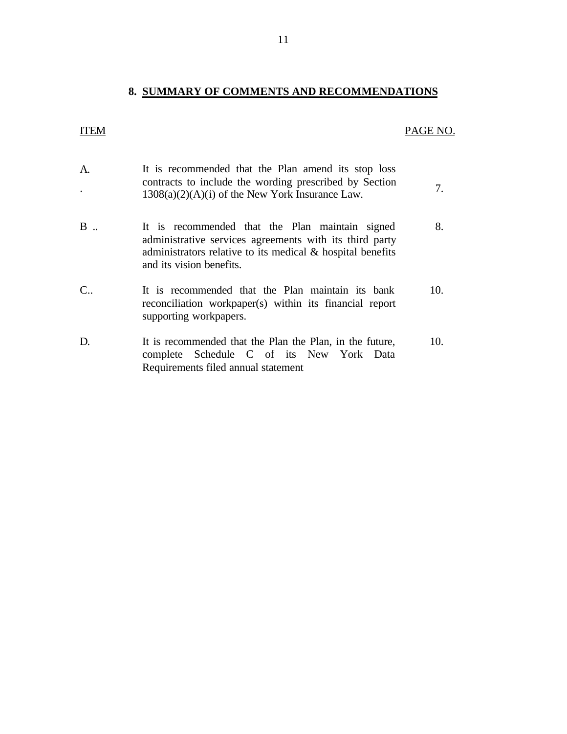# **8. SUMMARY OF COMMENTS AND RECOMMENDATIONS**

## ITEM PAGE NO.

| A.                | It is recommended that the Plan amend its stop loss<br>contracts to include the wording prescribed by Section<br>$1308(a)(2)(A)(i)$ of the New York Insurance Law.                                      | 7.  |
|-------------------|---------------------------------------------------------------------------------------------------------------------------------------------------------------------------------------------------------|-----|
| B.                | It is recommended that the Plan maintain signed<br>administrative services agreements with its third party<br>administrators relative to its medical $\&$ hospital benefits<br>and its vision benefits. | 8.  |
| $C_{\cdot \cdot}$ | It is recommended that the Plan maintain its bank<br>reconciliation workpaper(s) within its financial report<br>supporting workpapers.                                                                  | 10. |
| D.                | It is recommended that the Plan the Plan, in the future,<br>complete Schedule C of its New York Data<br>Requirements filed annual statement                                                             | 10. |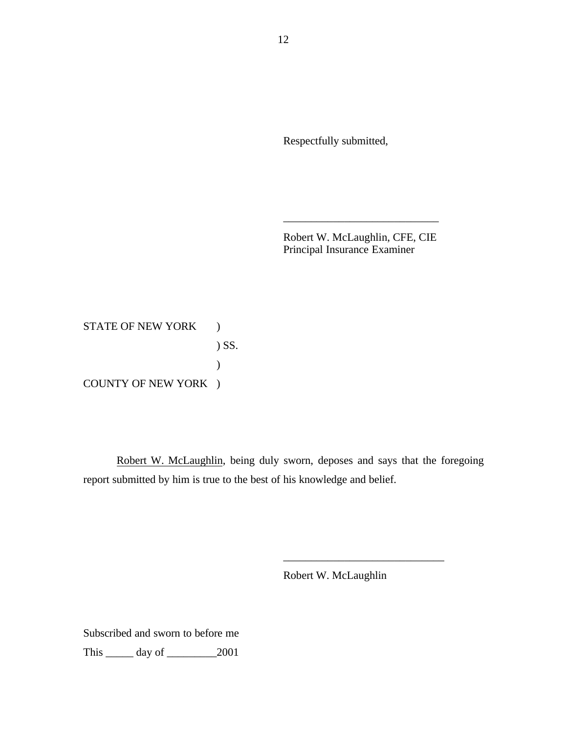Respectfully submitted,

Robert W. McLaughlin, CFE, CIE Principal Insurance Examiner

\_\_\_\_\_\_\_\_\_\_\_\_\_\_\_\_\_\_\_\_\_\_\_\_\_\_\_\_

STATE OF NEW YORK ) ) SS.  $\mathcal{L}$ COUNTY OF NEW YORK )

Robert W. McLaughlin, being duly sworn, deposes and says that the foregoing report submitted by him is true to the best of his knowledge and belief.

Robert W. McLaughlin

\_\_\_\_\_\_\_\_\_\_\_\_\_\_\_\_\_\_\_\_\_\_\_\_\_\_\_\_\_

Subscribed and sworn to before me This \_\_\_\_\_ day of \_\_\_\_\_\_\_\_\_2001